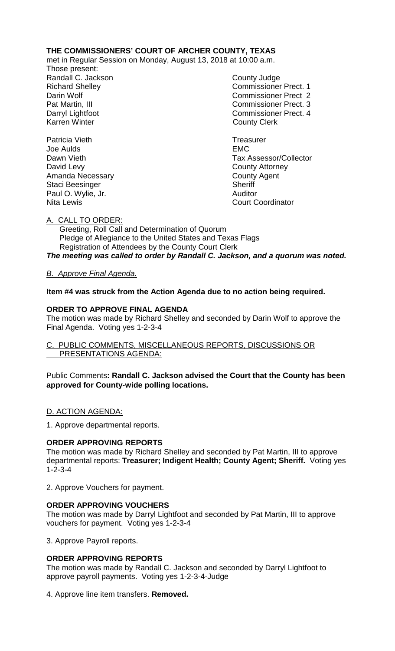## **THE COMMISSIONERS' COURT OF ARCHER COUNTY, TEXAS**

met in Regular Session on Monday, August 13, 2018 at 10:00 a.m.

Those present: Randall C. Jackson County Judge

Richard Shelley **Commissioner Prect. 1** Darin Wolf Commissioner Prect 2 Pat Martin, III Commissioner Prect. 3 Darryl Lightfoot **Commissioner Prect. 4**<br>
Karren Winter **County County Clerk County Clerk** 

Patricia Vieth **Treasurer** Treasurer Joe Aulds EMC Dawn Vieth Tax Assessor/Collector David Levy **County Attorney** 

Amanda Necessary **County Agent** County Agent Staci Beesinger Sheriff Paul O. Wylie, Jr. **Auditor** Auditor Nita Lewis Court Coordinator

A. CALL TO ORDER:

 Greeting, Roll Call and Determination of Quorum Pledge of Allegiance to the United States and Texas Flags Registration of Attendees by the County Court Clerk *The meeting was called to order by Randall C. Jackson, and a quorum was noted.*

*B. Approve Final Agenda.*

**Item #4 was struck from the Action Agenda due to no action being required.**

# **ORDER TO APPROVE FINAL AGENDA**

The motion was made by Richard Shelley and seconded by Darin Wolf to approve the Final Agenda. Voting yes 1-2-3-4

## C. PUBLIC COMMENTS, MISCELLANEOUS REPORTS, DISCUSSIONS OR PRESENTATIONS AGENDA:

Public Comments**: Randall C. Jackson advised the Court that the County has been approved for County-wide polling locations.**

## D. ACTION AGENDA:

1. Approve departmental reports.

## **ORDER APPROVING REPORTS**

The motion was made by Richard Shelley and seconded by Pat Martin, III to approve departmental reports: **Treasurer; Indigent Health; County Agent; Sheriff.** Voting yes 1-2-3-4

2. Approve Vouchers for payment.

## **ORDER APPROVING VOUCHERS**

The motion was made by Darryl Lightfoot and seconded by Pat Martin, III to approve vouchers for payment. Voting yes 1-2-3-4

3. Approve Payroll reports.

## **ORDER APPROVING REPORTS**

The motion was made by Randall C. Jackson and seconded by Darryl Lightfoot to approve payroll payments. Voting yes 1-2-3-4-Judge

4. Approve line item transfers. **Removed.**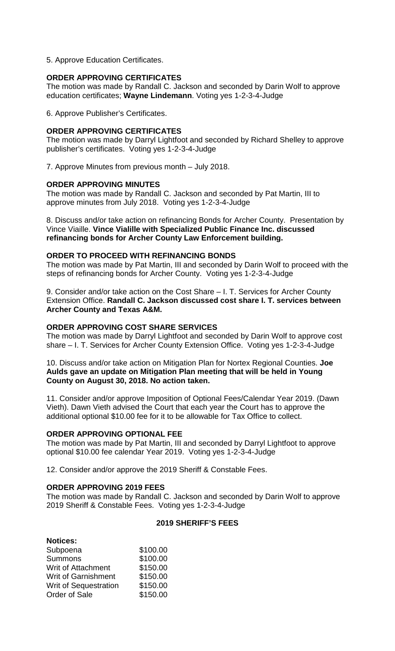5. Approve Education Certificates.

### **ORDER APPROVING CERTIFICATES**

The motion was made by Randall C. Jackson and seconded by Darin Wolf to approve education certificates; **Wayne Lindemann**. Voting yes 1-2-3-4-Judge

6. Approve Publisher's Certificates.

### **ORDER APPROVING CERTIFICATES**

The motion was made by Darryl Lightfoot and seconded by Richard Shelley to approve publisher's certificates. Voting yes 1-2-3-4-Judge

7. Approve Minutes from previous month – July 2018.

#### **ORDER APPROVING MINUTES**

The motion was made by Randall C. Jackson and seconded by Pat Martin, III to approve minutes from July 2018. Voting yes 1-2-3-4-Judge

8. Discuss and/or take action on refinancing Bonds for Archer County. Presentation by Vince Viaille. **Vince Vialille with Specialized Public Finance Inc. discussed refinancing bonds for Archer County Law Enforcement building.**

#### **ORDER TO PROCEED WITH REFINANCING BONDS**

The motion was made by Pat Martin, III and seconded by Darin Wolf to proceed with the steps of refinancing bonds for Archer County. Voting yes 1-2-3-4-Judge

9. Consider and/or take action on the Cost Share – I. T. Services for Archer County Extension Office. **Randall C. Jackson discussed cost share I. T. services between Archer County and Texas A&M.**

#### **ORDER APPROVING COST SHARE SERVICES**

The motion was made by Darryl Lightfoot and seconded by Darin Wolf to approve cost share – I. T. Services for Archer County Extension Office. Voting yes 1-2-3-4-Judge

#### 10. Discuss and/or take action on Mitigation Plan for Nortex Regional Counties. **Joe Aulds gave an update on Mitigation Plan meeting that will be held in Young County on August 30, 2018. No action taken.**

11. Consider and/or approve Imposition of Optional Fees/Calendar Year 2019. (Dawn Vieth). Dawn Vieth advised the Court that each year the Court has to approve the additional optional \$10.00 fee for it to be allowable for Tax Office to collect.

#### **ORDER APPROVING OPTIONAL FEE**

The motion was made by Pat Martin, III and seconded by Darryl Lightfoot to approve optional \$10.00 fee calendar Year 2019. Voting yes 1-2-3-4-Judge

12. Consider and/or approve the 2019 Sheriff & Constable Fees.

#### **ORDER APPROVING 2019 FEES**

The motion was made by Randall C. Jackson and seconded by Darin Wolf to approve 2019 Sheriff & Constable Fees. Voting yes 1-2-3-4-Judge

#### **2019 SHERIFF'S FEES**

| <b>Notices:</b>              |          |
|------------------------------|----------|
| Subpoena                     | \$100.00 |
| <b>Summons</b>               | \$100.00 |
| <b>Writ of Attachment</b>    | \$150.00 |
| <b>Writ of Garnishment</b>   | \$150.00 |
| <b>Writ of Sequestration</b> | \$150.00 |
| Order of Sale                | \$150.00 |
|                              |          |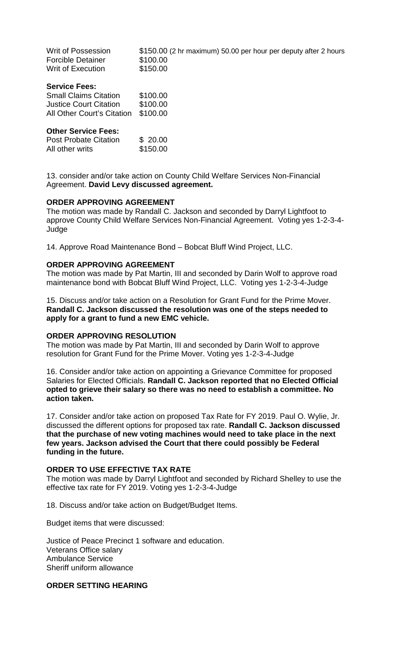| Writ of Possession<br>Forcible Detainer<br>Writ of Execution | \$150.00 (2 hr maximum) 50.00 per hour per deputy after 2 hours<br>\$100.00<br>\$150.00 |
|--------------------------------------------------------------|-----------------------------------------------------------------------------------------|
| <b>Service Fees:</b>                                         |                                                                                         |
| <b>Small Claims Citation</b>                                 | \$100.00                                                                                |
| Justice Court Citation                                       | \$100.00                                                                                |
| All Other Court's Citation                                   | \$100.00                                                                                |
| <b>Other Service Fees:</b>                                   |                                                                                         |
| <b>Post Probate Citation</b>                                 | \$20.00                                                                                 |
| All other writs                                              | \$150.00                                                                                |
|                                                              |                                                                                         |

13. consider and/or take action on County Child Welfare Services Non-Financial Agreement. **David Levy discussed agreement.**

#### **ORDER APPROVING AGREEMENT**

The motion was made by Randall C. Jackson and seconded by Darryl Lightfoot to approve County Child Welfare Services Non-Financial Agreement. Voting yes 1-2-3-4- Judge

14. Approve Road Maintenance Bond – Bobcat Bluff Wind Project, LLC.

#### **ORDER APPROVING AGREEMENT**

The motion was made by Pat Martin, III and seconded by Darin Wolf to approve road maintenance bond with Bobcat Bluff Wind Project, LLC. Voting yes 1-2-3-4-Judge

15. Discuss and/or take action on a Resolution for Grant Fund for the Prime Mover. **Randall C. Jackson discussed the resolution was one of the steps needed to apply for a grant to fund a new EMC vehicle.**

### **ORDER APPROVING RESOLUTION**

The motion was made by Pat Martin, III and seconded by Darin Wolf to approve resolution for Grant Fund for the Prime Mover. Voting yes 1-2-3-4-Judge

16. Consider and/or take action on appointing a Grievance Committee for proposed Salaries for Elected Officials. **Randall C. Jackson reported that no Elected Official opted to grieve their salary so there was no need to establish a committee. No action taken.**

17. Consider and/or take action on proposed Tax Rate for FY 2019. Paul O. Wylie, Jr. discussed the different options for proposed tax rate. **Randall C. Jackson discussed that the purchase of new voting machines would need to take place in the next few years. Jackson advised the Court that there could possibly be Federal funding in the future.**

#### **ORDER TO USE EFFECTIVE TAX RATE**

The motion was made by Darryl Lightfoot and seconded by Richard Shelley to use the effective tax rate for FY 2019. Voting yes 1-2-3-4-Judge

18. Discuss and/or take action on Budget/Budget Items.

Budget items that were discussed:

Justice of Peace Precinct 1 software and education. Veterans Office salary Ambulance Service Sheriff uniform allowance

### **ORDER SETTING HEARING**